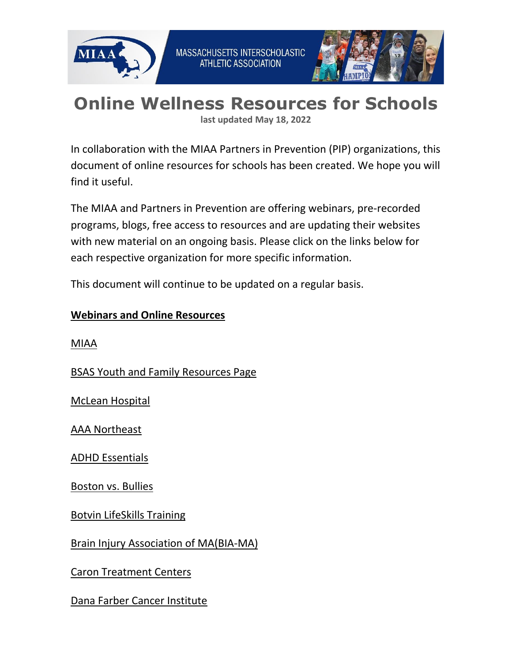



# **Online Wellness Resources for Schools**

**last updated May 18, 2022**

In collaboration with the MIAA Partners in Prevention (PIP) organizations, this document of online resources for schools has been created. We hope you will find it useful.

The MIAA and Partners in Prevention are offering webinars, pre-recorded programs, blogs, free access to resources and are updating their websites with new material on an ongoing basis. Please click on the links below for each respective organization for more specific information.

This document will continue to be updated on a regular basis.

#### **Webinars and Online Resources**

[MIAA](http://www.miaa.net/)

[BSAS Youth and Family Resources Page](https://sites.google.com/view/oyyas-resource-guide/home)

[McLean Hospital](https://home.mcleanhospital.org/covid-19-resources)

[AAA Northeast](http://www.northeast.aaa.com/)

[ADHD Essentials](http://www.adhdessentials.com/)

[Boston vs. Bullies](http://www.bostonvsbullies.org/)

[Botvin LifeSkills Training](https://www.lifeskillstraining.com/)

[Brain Injury Association of MA\(BIA-MA\)](http://www.biama.org/)

[Caron Treatment Centers](https://www.caron.org/our-programs/education-alliance/digital-learning)

[Dana Farber Cancer Institute](https://www.dana-farber.org/about-us/events-calendar/)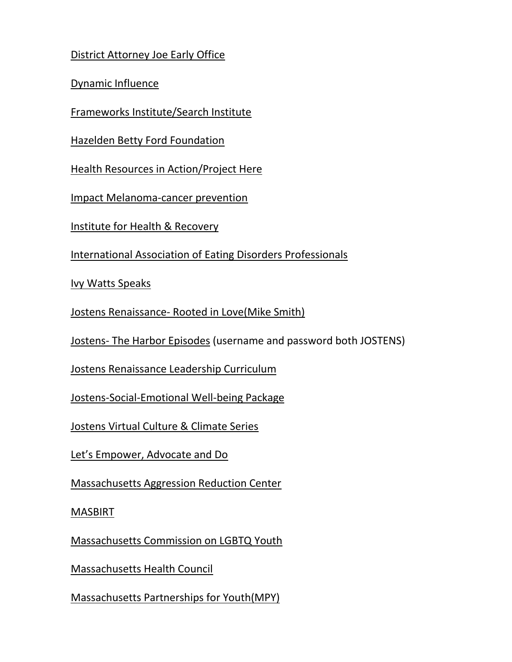# [District Attorney Joe Early Office](http://www.worcesterda.com/)

[Dynamic Influence](https://dynamicinfluence.com/)

[Frameworks Institute/Search Institute](https://www.search-institute.org/frameworks-webinars?utm_medium=email&utm_campaign=Frameworks%20Webinar%20Series&utm_content=Frameworks%20Webinar%20Series+CID_86eb6d47bf06cf65ad4e902ad3222513&utm_source=Email%20marketing%20software&utm_term=Click%20to%20Learn%20More%20and%20to%20Register)

[Hazelden Betty Ford Foundation](https://www.hazeldenbettyford.org/treatment/models/virtual-addiction-treatment?utm_source=corporate-marketing&utm_medium=email&utm_campaign=62793)

[Health Resources in Action/Project Here](https://hria.org/2020/03/19/social-distancing-recovery/)

[Impact Melanoma-cancer prevention](https://impactmelanoma.org/our-work/your-skin-is-in/)

[Institute for Health & Recovery](http://miaa.net/gen/miaa_generated_bin/documents/basic_module/Institute_for_Health__Recovery_Online__Phone_resources.docx)

[International Association of Eating Disorders Professionals](http://www.iaedp.com/)

[Ivy Watts Speaks](https://www.ivywattsspeaks.com/)

Jostens Renaissance- [Rooted in Love\(Mike Smith\)](https://www.jostensrenaissance.com/)

Jostens- The Harbor Episodes (username and password both JOSTENS)

[Jostens Renaissance Leadership Curriculum](https://www.jostensrenaissance.com/leadershipcurriculum/)

[Jostens-Social-Emotional Well-being Package](https://www.jostensrenaissance.com/)

[Jostens Virtual Culture & Climate Series](https://www.jostensrenaissance.com/)

[Let's Empower, Advocate and Do](https://www.leadnow.org/resources)

[Massachusetts Aggression Reduction Center](https://www.marccenter.org/)

**[MASBIRT](https://www.masbirt.org/schools)** 

[Massachusetts Commission on LGBTQ Youth](https://ma-lgbtq.org/onlinepd/)

[Massachusetts Health Council](http://www.mahealthcouncil.org/)

[Massachusetts Partnerships for Youth\(](https://massachusettspartnershipsforyouth.com/events/)MPY)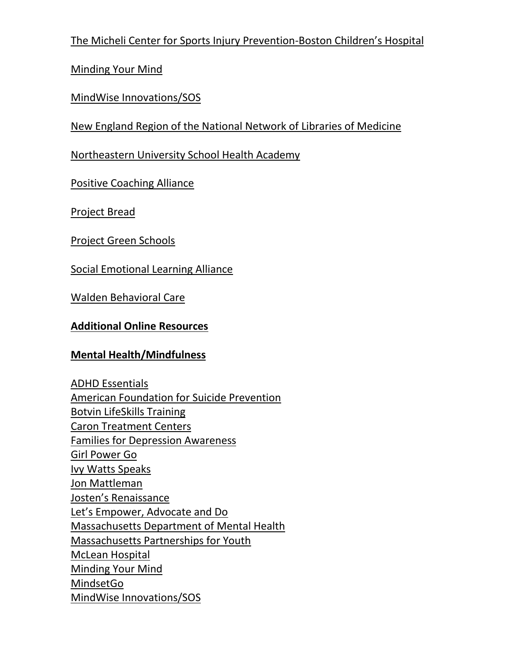[The Micheli Center for Sports Injury Prevention-](https://www.themichelicenter.com/)Boston Children's Hospital

[Minding Your Mind](https://mindingyourmind.org/)

[MindWise Innovations/SOS](https://www.mindwise.org/act/)

[New England Region of the National Network of Libraries of Medicine](https://nnlm.gov/class/strategies-and-resources-maintain-sobriety-during-covid-19/23708)

[Northeastern University School Health Academy](http://www.neusha.org/)

[Positive Coaching Alliance](https://positivecoach.org/team-sport)

[Project Bread](https://www.projectbread.org/get-help/covid-19-hunger-food-resources-for-households)

[Project Green Schools](https://projectgreenschools.org/)

[Social Emotional Learning Alliance](https://sel4ma.org/covid-19-sel-mental-health/)

[Walden Behavioral Care](https://www.waldeneatingdisorders.com/?utm_source=email&utm_medium=blast&utm_campaign=professional&utm_content=footer)

# **Additional Online Resources**

# **Mental Health/Mindfulness**

[ADHD Essentials](https://www.adhdessentials.com/) [American Foundation for Suicide Prevention](https://afsp.org/) [Botvin LifeSkills Training](https://www.lifeskillstraining.com/) [Caron Treatment Centers](http://www.caron.org/) [Families for Depression Awareness](http://www.familyaware.org/) [Girl Power Go](https://www.girlpowergo.com/) [Ivy Watts Speaks](https://www.ivywattsspeaks.com/) [Jon Mattleman](https://www.jonmattleman.com/) [Josten's Renaissance](https://www.jostensrenaissance.com/) [Let's Empower, Advocate and Do](https://www.leadnow.org/resources) [Massachusetts Department of Mental Health](https://www.mass.gov/orgs/massachusetts-department-of-mental-health) [Massachusetts Partnerships for Youth](https://massachusettspartnershipsforyouth.com/events/) [McLean Hospital](https://home.mcleanhospital.org/covid-19-resources) [Minding Your Mind](https://mindingyourmind.org/) [MindsetGo](https://mindsetgo.com/) [MindWise Innovations/SOS](https://www.mindwise.org/act/)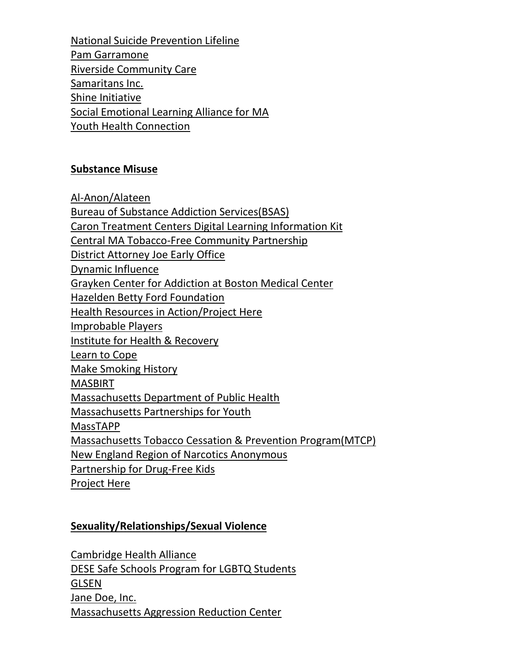[National Suicide Prevention Lifeline](https://suicidepreventionlifeline.org/) [Pam Garramone](https://www.pamgarramone.com/) [Riverside Community Care](https://www.riversidecc.org/) [Samaritans Inc.](https://samaritanshope.org/) [Shine Initiative](https://www.shineinitiative.org/) [Social Emotional Learning Alliance for MA](https://sel4ma.org/covid-19-sel-mental-health/) [Youth Health Connection](https://www.southshorehealth.org/wellness/youth-health-connection)

#### **Substance Misuse**

[Al-Anon/Alateen](https://ma-al-anon-alateen.org/) [Bureau of Substance Addiction Services\(BSAS\)](https://www.mass.gov/orgs/bureau-of-substance-addiction-services) Caron Treatment Centers [Digital Learning Information Kit](https://www.caron.org/media-center/presskit/digital-learning) [Central MA Tobacco-Free Community Partnership](https://www.umassmed.edu/psychiatry/resources/tobacco/tobacco-free-community-partnership/Media/) [District Attorney Joe Early Office](http://www.worcesterda.com/) [Dynamic Influence](https://dynamicinfluence.com/) [Grayken Center for Addiction at Boston Medical Center](https://www.bmc.org/addiction) [Hazelden Betty Ford Foundation](https://www.hazeldenbettyford.org/treatment/models/virtual-addiction-treatment?utm_source=corporate-marketing&utm_medium=email&utm_campaign=62793) [Health Resources in Action/Project Here](https://hria.org/2020/03/19/social-distancing-recovery/) [Improbable Players](https://www.improbableplayers.org/) [Institute for Health & Recovery](http://www.healthrecovery.org/) [Learn to Cope](http://www.learn2cope.org/) [Make Smoking History](http://makesmokinghistory.org/) [MASBIRT](https://www.masbirt.org/schools) [Massachusetts Department of Public Health](https://www.mass.gov/resource/information-on-the-outbreak-of-coronavirus-disease-2019-covid-19) [Massachusetts Partnerships for Youth](https://massachusettspartnershipsforyouth.com/events/) MassTAPP [Massachusetts Tobacco Cessation & Prevention Program\(MTCP\)](https://www.mass.gov/massachusetts-tobacco-cessation-and-prevention-program-mtcp) [New England Region of Narcotics Anonymous](https://nerna.org/) [Partnership for Drug-Free Kids](https://drugfree.org/article/covid-19-we-are-here-for-you/) [Project Here](https://projectherema.org/)

#### **Sexuality/Relationships/Sexual Violence**

[Cambridge Health Alliance](https://www.challiance.org/cha-services/lgbtq-resources) [DESE Safe Schools Program for LGBTQ Students](http://www.doe.mass.edu/sfs/lgbtq/default.html) [GLSEN](https://www.glsen.org/) [Jane Doe, Inc.](https://janedoe.org/find_help/) [Massachusetts Aggression Reduction Center](https://www.marccenter.org/)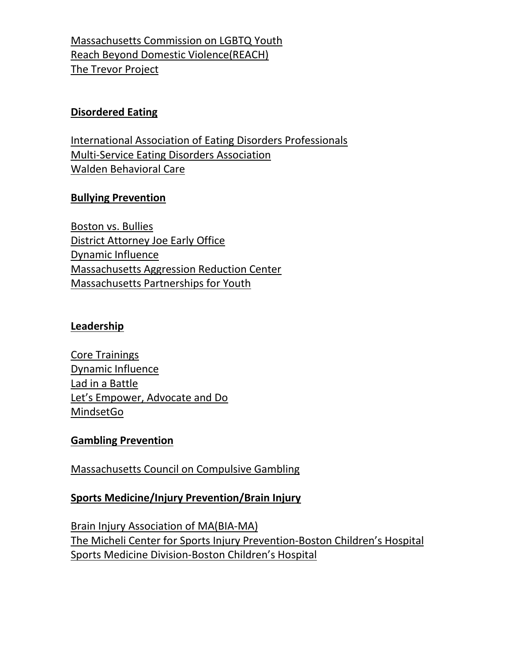[Massachusetts Commission on LGBTQ](https://www.mass.gov/orgs/massachusetts-commission-on-lgbtq-youth) Youth [Reach Beyond Domestic Violence\(REACH\)](https://reachma.org/who-we-are/news/support-during-coronavirus-covid-19/) [The Trevor Project](https://www.thetrevorproject.org/)

#### **Disordered Eating**

[International Association of Eating Disorders Professionals](http://www.iaedp.com/) [Multi-Service Eating Disorders Association](http://www.medainc.org/) [Walden Behavioral Care](https://www.waldeneatingdisorders.com/?utm_source=email&utm_medium=blast&utm_campaign=professional&utm_content=footer)

## **Bullying Prevention**

[Boston vs. Bullies](http://www.bostonvsbullies.org/) [District Attorney Joe Early Office](http://www.worcesterda.com/) [Dynamic Influence](http://dynamicinfluence.com/) [Massachusetts Aggression Reduction Center](https://www.marccenter.org/) [Massachusetts Partnerships for Youth](https://massachusettspartnershipsforyouth.com/events/)

#### **Leadership**

[Core Trainings](https://coretrainings.com/) [Dynamic Influence](http://dynamicinfluence.com/) [Lad in a Battle](https://www.ladinabattle.com/) Let's Empower, Advocate and Do [MindsetGo](https://mindsetgo.com/)

#### **Gambling Prevention**

[Massachusetts Council on Compulsive Gambling](https://masscompulsivegambling.org/)

# **Sports Medicine/Injury Prevention/Brain Injury**

[Brain Injury Association](http://www.biama.org/) of MA(BIA-MA) The Micheli Center [for Sports Injury Prevention-](https://www.themichelicenter.com/)Boston Children's Hospital Sports Medicine Division-[Boston Children's Hospital](http://www.childrenshospital.org/centers-and-services/departments/sports-medicine/patient-resources/injury-prevention)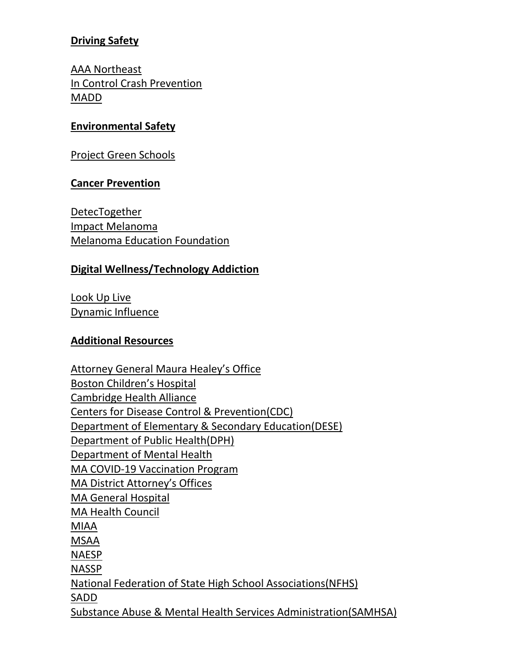## **Driving Safety**

[AAA Northeast](https://northeast.aaa.com/) [In Control Crash Prevention](https://www.driveincontrol.org/) [MADD](https://www.madd.org/)

#### **Environmental Safety**

[Project Green Schools](https://projectgreenschools.org/)

#### **Cancer Prevention**

[DetecTogether](http://www.detectogether.org/) [Impact Melanoma](http://www.impactmelanoma.org/) [Melanoma Education Foundation](https://www.skincheck.org/)

#### **Digital Wellness/Technology Addiction**

[Look Up Live](https://www.lookup.live/) [Dynamic Influence](http://dynamicinfluence.com/)

#### **Additional Resources**

[Attorney General Maura Healey's](https://www.mass.gov/orgs/office-of-attorney-general-maura-healey) Office [Boston Children's Hospital](http://www.childrenshospital.org/) [Cambridge Health Alliance](https://www.challiance.org/) [Centers for Disease Control & Prevention\(CDC\)](https://www.cdc.gov/coronavirus/2019-ncov/community/schools-childcare/index.html) [Department of Elementary & Secondary Education\(DESE\)](http://www.doe.mass.edu/) Department of Public Health(DPH) [Department of Mental Health](https://www.mass.gov/orgs/massachusetts-department-of-mental-health) [MA COVID-19 Vaccination Program](https://www.mass.gov/covid-19-vaccine) [MA District Attorney's Offices](https://www.mass.gov/directory-of-district-attorney-offices) [MA General Hospital](https://www.massgeneral.org/) [MA Health Council](https://mahealthcouncil.org/?) [MIAA](http://www.miaa.net/)  [MSAA](http://www.msaa.net/) [NAESP](https://www.naesp.org/) [NASSP](https://www.nassp.org/) [National Federation of State High School Associations\(NFHS\)](https://www.nfhs.org/) [SADD](https://www.sadd.org/) [Substance Abuse & Mental Health Services Administration\(SAMHSA\)](https://www.samhsa.gov/)